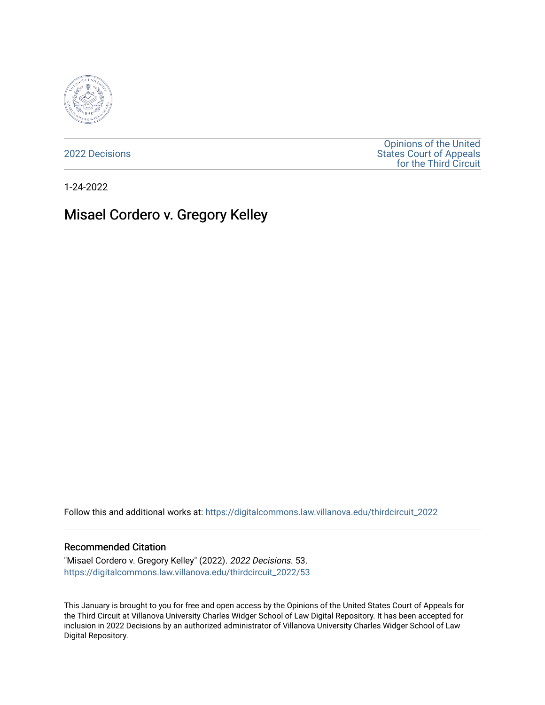

[2022 Decisions](https://digitalcommons.law.villanova.edu/thirdcircuit_2022)

[Opinions of the United](https://digitalcommons.law.villanova.edu/thirdcircuit)  [States Court of Appeals](https://digitalcommons.law.villanova.edu/thirdcircuit)  [for the Third Circuit](https://digitalcommons.law.villanova.edu/thirdcircuit) 

1-24-2022

# Misael Cordero v. Gregory Kelley

Follow this and additional works at: [https://digitalcommons.law.villanova.edu/thirdcircuit\\_2022](https://digitalcommons.law.villanova.edu/thirdcircuit_2022?utm_source=digitalcommons.law.villanova.edu%2Fthirdcircuit_2022%2F53&utm_medium=PDF&utm_campaign=PDFCoverPages) 

#### Recommended Citation

"Misael Cordero v. Gregory Kelley" (2022). 2022 Decisions. 53. [https://digitalcommons.law.villanova.edu/thirdcircuit\\_2022/53](https://digitalcommons.law.villanova.edu/thirdcircuit_2022/53?utm_source=digitalcommons.law.villanova.edu%2Fthirdcircuit_2022%2F53&utm_medium=PDF&utm_campaign=PDFCoverPages)

This January is brought to you for free and open access by the Opinions of the United States Court of Appeals for the Third Circuit at Villanova University Charles Widger School of Law Digital Repository. It has been accepted for inclusion in 2022 Decisions by an authorized administrator of Villanova University Charles Widger School of Law Digital Repository.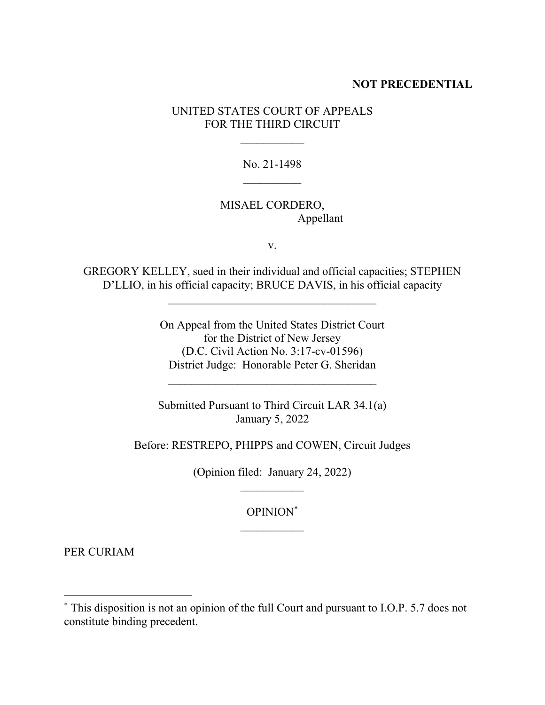#### **NOT PRECEDENTIAL**

### UNITED STATES COURT OF APPEALS FOR THE THIRD CIRCUIT

No. 21-1498  $\mathcal{L}_\text{max}$ 

### MISAEL CORDERO, Appellant

v.

GREGORY KELLEY, sued in their individual and official capacities; STEPHEN D'LLIO, in his official capacity; BRUCE DAVIS, in his official capacity

 $\mathcal{L}_\text{max}$ 

On Appeal from the United States District Court for the District of New Jersey (D.C. Civil Action No. 3:17-cv-01596) District Judge: Honorable Peter G. Sheridan

Submitted Pursuant to Third Circuit LAR 34.1(a) January 5, 2022

Before: RESTREPO, PHIPPS and COWEN, Circuit Judges

(Opinion filed: January 24, 2022)

OPINION\*

PER CURIAM

<sup>\*</sup> This disposition is not an opinion of the full Court and pursuant to I.O.P. 5.7 does not constitute binding precedent.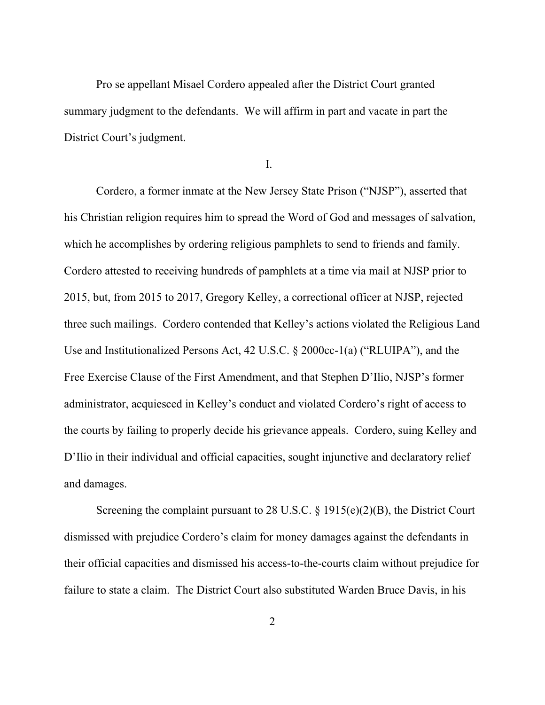Pro se appellant Misael Cordero appealed after the District Court granted summary judgment to the defendants. We will affirm in part and vacate in part the District Court's judgment.

I.

Cordero, a former inmate at the New Jersey State Prison ("NJSP"), asserted that his Christian religion requires him to spread the Word of God and messages of salvation, which he accomplishes by ordering religious pamphlets to send to friends and family. Cordero attested to receiving hundreds of pamphlets at a time via mail at NJSP prior to 2015, but, from 2015 to 2017, Gregory Kelley, a correctional officer at NJSP, rejected three such mailings. Cordero contended that Kelley's actions violated the Religious Land Use and Institutionalized Persons Act, 42 U.S.C. § 2000cc-1(a) ("RLUIPA"), and the Free Exercise Clause of the First Amendment, and that Stephen D'Ilio, NJSP's former administrator, acquiesced in Kelley's conduct and violated Cordero's right of access to the courts by failing to properly decide his grievance appeals. Cordero, suing Kelley and D'Ilio in their individual and official capacities, sought injunctive and declaratory relief and damages.

Screening the complaint pursuant to 28 U.S.C.  $\S 1915(e)(2)(B)$ , the District Court dismissed with prejudice Cordero's claim for money damages against the defendants in their official capacities and dismissed his access-to-the-courts claim without prejudice for failure to state a claim. The District Court also substituted Warden Bruce Davis, in his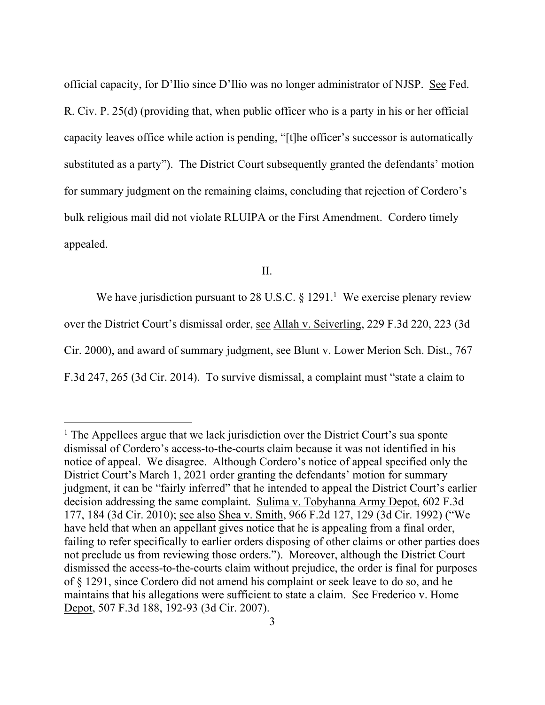official capacity, for D'Ilio since D'Ilio was no longer administrator of NJSP. See Fed. R. Civ. P. 25(d) (providing that, when public officer who is a party in his or her official capacity leaves office while action is pending, "[t]he officer's successor is automatically substituted as a party"). The District Court subsequently granted the defendants' motion for summary judgment on the remaining claims, concluding that rejection of Cordero's bulk religious mail did not violate RLUIPA or the First Amendment. Cordero timely appealed.

II.

We have jurisdiction pursuant to 28 U.S.C.  $\S 1291$ .<sup>1</sup> We exercise plenary review over the District Court's dismissal order, see Allah v. Seiverling, 229 F.3d 220, 223 (3d Cir. 2000), and award of summary judgment, see Blunt v. Lower Merion Sch. Dist., 767 F.3d 247, 265 (3d Cir. 2014). To survive dismissal, a complaint must "state a claim to

 $<sup>1</sup>$  The Appellees argue that we lack jurisdiction over the District Court's sua sponte</sup> dismissal of Cordero's access-to-the-courts claim because it was not identified in his notice of appeal. We disagree. Although Cordero's notice of appeal specified only the District Court's March 1, 2021 order granting the defendants' motion for summary judgment, it can be "fairly inferred" that he intended to appeal the District Court's earlier decision addressing the same complaint. Sulima v. Tobyhanna Army Depot, 602 F.3d 177, 184 (3d Cir. 2010); see also Shea v. Smith, 966 F.2d 127, 129 (3d Cir. 1992) ("We have held that when an appellant gives notice that he is appealing from a final order, failing to refer specifically to earlier orders disposing of other claims or other parties does not preclude us from reviewing those orders."). Moreover, although the District Court dismissed the access-to-the-courts claim without prejudice, the order is final for purposes of § 1291, since Cordero did not amend his complaint or seek leave to do so, and he maintains that his allegations were sufficient to state a claim. See Frederico v. Home Depot, 507 F.3d 188, 192-93 (3d Cir. 2007).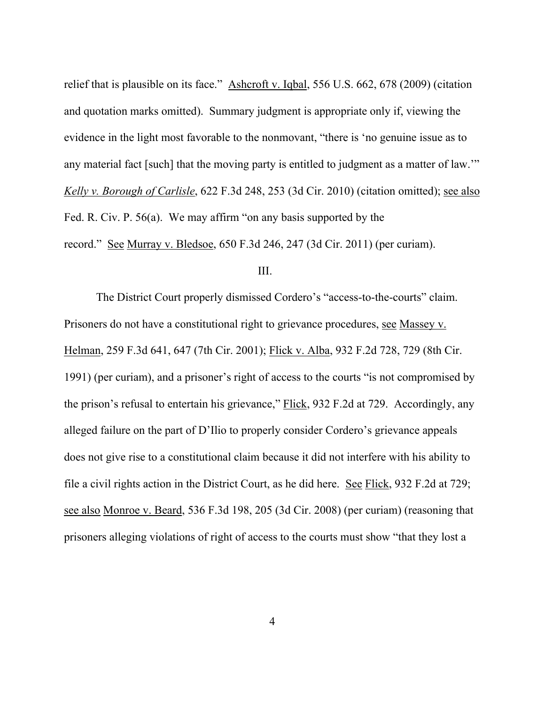relief that is plausible on its face." Ashcroft v. Iqbal, 556 U.S. 662, 678 (2009) (citation and quotation marks omitted). Summary judgment is appropriate only if, viewing the evidence in the light most favorable to the nonmovant, "there is 'no genuine issue as to any material fact [such] that the moving party is entitled to judgment as a matter of law.'" *Kelly v. Borough of Carlisle*, 622 F.3d 248, 253 (3d Cir. 2010) (citation omitted); see also Fed. R. Civ. P. 56(a). We may affirm "on any basis supported by the record." See Murray v. Bledsoe, 650 F.3d 246, 247 (3d Cir. 2011) (per curiam).

## III.

The District Court properly dismissed Cordero's "access-to-the-courts" claim. Prisoners do not have a constitutional right to grievance procedures, see Massey v. Helman, 259 F.3d 641, 647 (7th Cir. 2001); Flick v. Alba, 932 F.2d 728, 729 (8th Cir. 1991) (per curiam), and a prisoner's right of access to the courts "is not compromised by the prison's refusal to entertain his grievance," Flick, 932 F.2d at 729. Accordingly, any alleged failure on the part of D'Ilio to properly consider Cordero's grievance appeals does not give rise to a constitutional claim because it did not interfere with his ability to file a civil rights action in the District Court, as he did here. See Flick, 932 F.2d at 729; see also Monroe v. Beard, 536 F.3d 198, 205 (3d Cir. 2008) (per curiam) (reasoning that prisoners alleging violations of right of access to the courts must show "that they lost a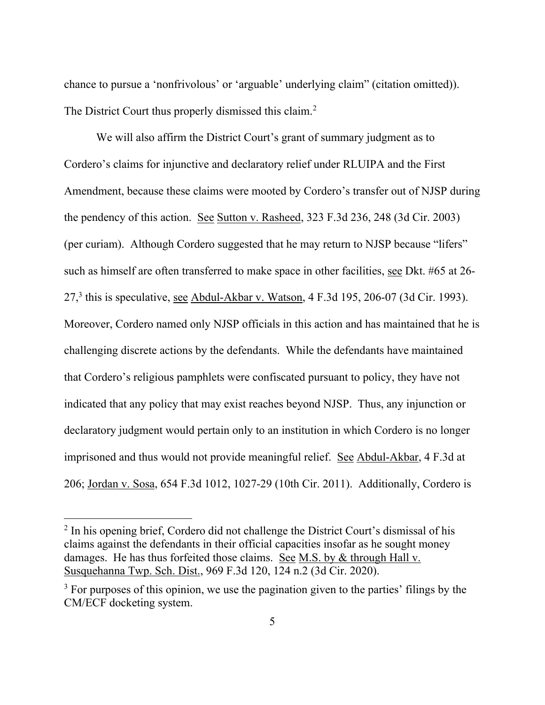chance to pursue a 'nonfrivolous' or 'arguable' underlying claim" (citation omitted)). The District Court thus properly dismissed this claim.<sup>2</sup>

We will also affirm the District Court's grant of summary judgment as to Cordero's claims for injunctive and declaratory relief under RLUIPA and the First Amendment, because these claims were mooted by Cordero's transfer out of NJSP during the pendency of this action. See Sutton v. Rasheed, 323 F.3d 236, 248 (3d Cir. 2003) (per curiam). Although Cordero suggested that he may return to NJSP because "lifers" such as himself are often transferred to make space in other facilities, see Dkt. #65 at 26- 27,<sup>3</sup> this is speculative, <u>see Abdul-Akbar v. Watson</u>, 4 F.3d 195, 206-07 (3d Cir. 1993). Moreover, Cordero named only NJSP officials in this action and has maintained that he is challenging discrete actions by the defendants. While the defendants have maintained that Cordero's religious pamphlets were confiscated pursuant to policy, they have not indicated that any policy that may exist reaches beyond NJSP. Thus, any injunction or declaratory judgment would pertain only to an institution in which Cordero is no longer imprisoned and thus would not provide meaningful relief. See Abdul-Akbar, 4 F.3d at 206; Jordan v. Sosa, 654 F.3d 1012, 1027-29 (10th Cir. 2011). Additionally, Cordero is

<sup>&</sup>lt;sup>2</sup> In his opening brief, Cordero did not challenge the District Court's dismissal of his claims against the defendants in their official capacities insofar as he sought money damages. He has thus forfeited those claims. See M.S. by & through Hall v. Susquehanna Twp. Sch. Dist., 969 F.3d 120, 124 n.2 (3d Cir. 2020).

 $3$  For purposes of this opinion, we use the pagination given to the parties' filings by the CM/ECF docketing system.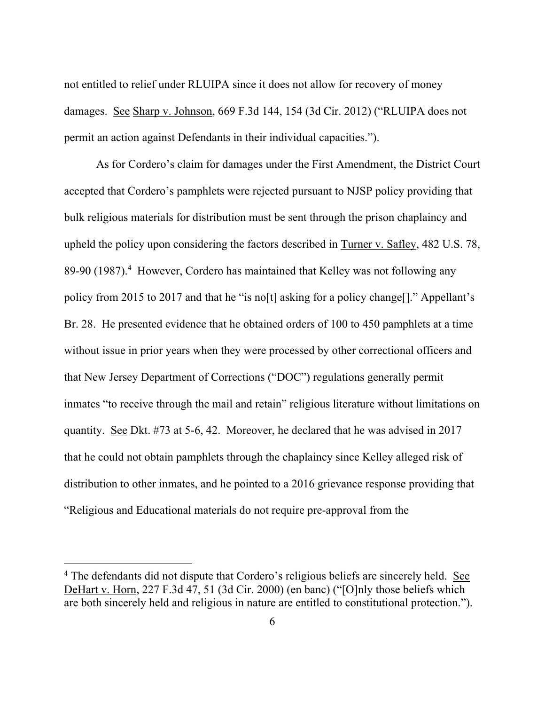not entitled to relief under RLUIPA since it does not allow for recovery of money damages. See Sharp v. Johnson, 669 F.3d 144, 154 (3d Cir. 2012) ("RLUIPA does not permit an action against Defendants in their individual capacities.").

As for Cordero's claim for damages under the First Amendment, the District Court accepted that Cordero's pamphlets were rejected pursuant to NJSP policy providing that bulk religious materials for distribution must be sent through the prison chaplaincy and upheld the policy upon considering the factors described in Turner v. Safley, 482 U.S. 78, 89-90 (1987).<sup>4</sup> However, Cordero has maintained that Kelley was not following any policy from 2015 to 2017 and that he "is no[t] asking for a policy change[]." Appellant's Br. 28. He presented evidence that he obtained orders of 100 to 450 pamphlets at a time without issue in prior years when they were processed by other correctional officers and that New Jersey Department of Corrections ("DOC") regulations generally permit inmates "to receive through the mail and retain" religious literature without limitations on quantity. See Dkt. #73 at 5-6, 42. Moreover, he declared that he was advised in 2017 that he could not obtain pamphlets through the chaplaincy since Kelley alleged risk of distribution to other inmates, and he pointed to a 2016 grievance response providing that "Religious and Educational materials do not require pre-approval from the

<sup>&</sup>lt;sup>4</sup> The defendants did not dispute that Cordero's religious beliefs are sincerely held. See DeHart v. Horn, 227 F.3d 47, 51 (3d Cir. 2000) (en banc) ("[O]nly those beliefs which are both sincerely held and religious in nature are entitled to constitutional protection.").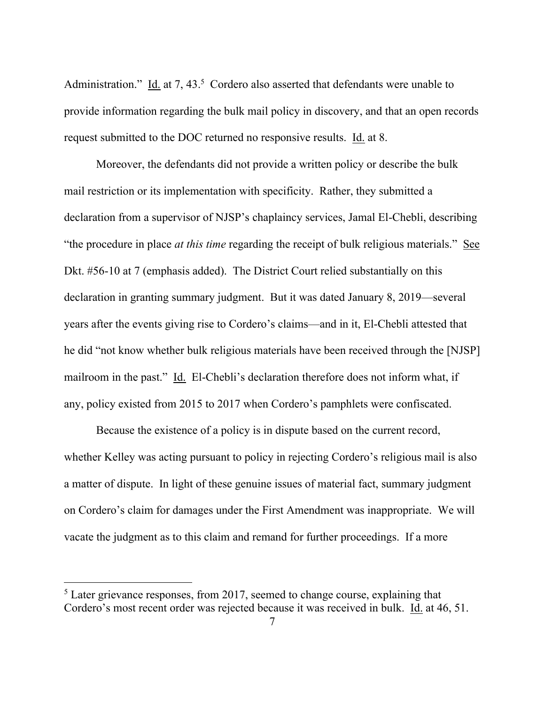Administration." Id. at 7, 43.<sup>5</sup> Cordero also asserted that defendants were unable to provide information regarding the bulk mail policy in discovery, and that an open records request submitted to the DOC returned no responsive results. Id. at 8.

Moreover, the defendants did not provide a written policy or describe the bulk mail restriction or its implementation with specificity. Rather, they submitted a declaration from a supervisor of NJSP's chaplaincy services, Jamal El-Chebli, describing "the procedure in place *at this time* regarding the receipt of bulk religious materials." See Dkt. #56-10 at 7 (emphasis added). The District Court relied substantially on this declaration in granting summary judgment. But it was dated January 8, 2019—several years after the events giving rise to Cordero's claims—and in it, El-Chebli attested that he did "not know whether bulk religious materials have been received through the [NJSP] mailroom in the past." Id. El-Chebli's declaration therefore does not inform what, if any, policy existed from 2015 to 2017 when Cordero's pamphlets were confiscated.

Because the existence of a policy is in dispute based on the current record, whether Kelley was acting pursuant to policy in rejecting Cordero's religious mail is also a matter of dispute. In light of these genuine issues of material fact, summary judgment on Cordero's claim for damages under the First Amendment was inappropriate. We will vacate the judgment as to this claim and remand for further proceedings. If a more

<sup>&</sup>lt;sup>5</sup> Later grievance responses, from 2017, seemed to change course, explaining that Cordero's most recent order was rejected because it was received in bulk. Id. at 46, 51.